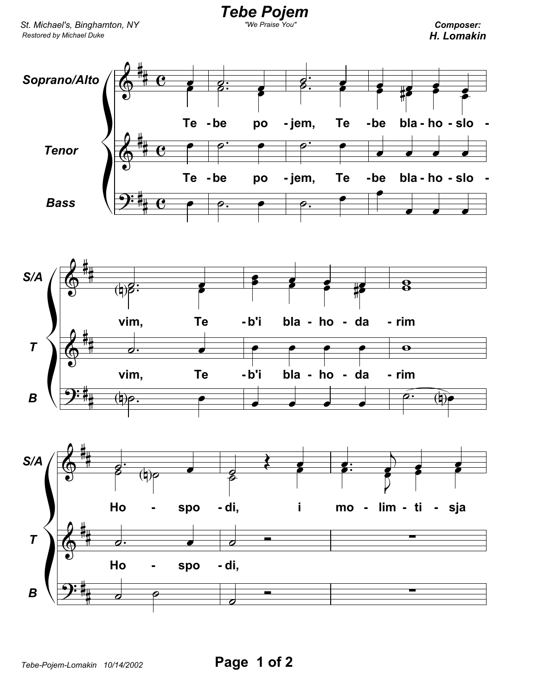Tebe Pojem

Composer: H. Lomakin